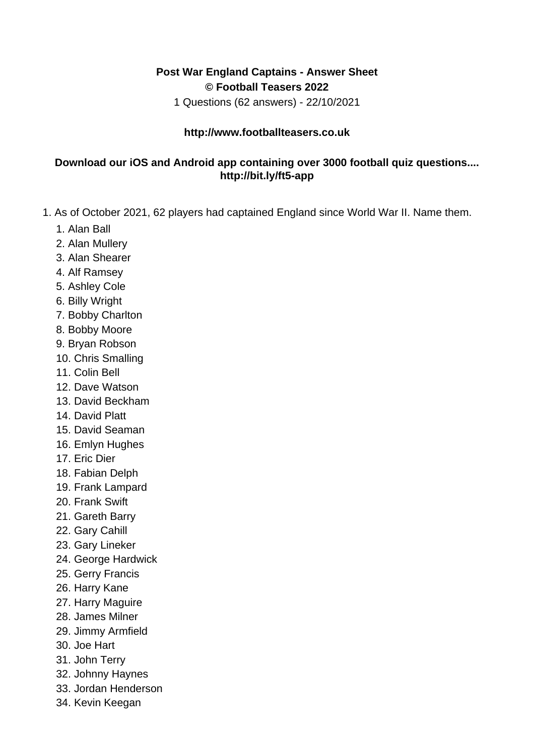## **Post War England Captains - Answer Sheet © Football Teasers 2022**

1 Questions (62 answers) - 22/10/2021

## **http://www.footballteasers.co.uk**

## **Download our iOS and Android app containing over 3000 football quiz questions.... http://bit.ly/ft5-app**

- 1. As of October 2021, 62 players had captained England since World War II. Name them.
	- 1. Alan Ball
	- 2. Alan Mullery
	- 3. Alan Shearer
	- 4. Alf Ramsey
	- 5. Ashley Cole
	- 6. Billy Wright
	- 7. Bobby Charlton
	- 8. Bobby Moore
	- 9. Bryan Robson
	- 10. Chris Smalling
	- 11. Colin Bell
	- 12. Dave Watson
	- 13. David Beckham
	- 14. David Platt
	- 15. David Seaman
	- 16. Emlyn Hughes
	- 17. Eric Dier
	- 18. Fabian Delph
	- 19. Frank Lampard
	- 20. Frank Swift
	- 21. Gareth Barry
	- 22. Gary Cahill
	- 23. Gary Lineker
	- 24. George Hardwick
	- 25. Gerry Francis
	- 26. Harry Kane
	- 27. Harry Maguire
	- 28. James Milner
	- 29. Jimmy Armfield
	- 30. Joe Hart
	- 31. John Terry
	- 32. Johnny Haynes
	- 33. Jordan Henderson
	- 34. Kevin Keegan